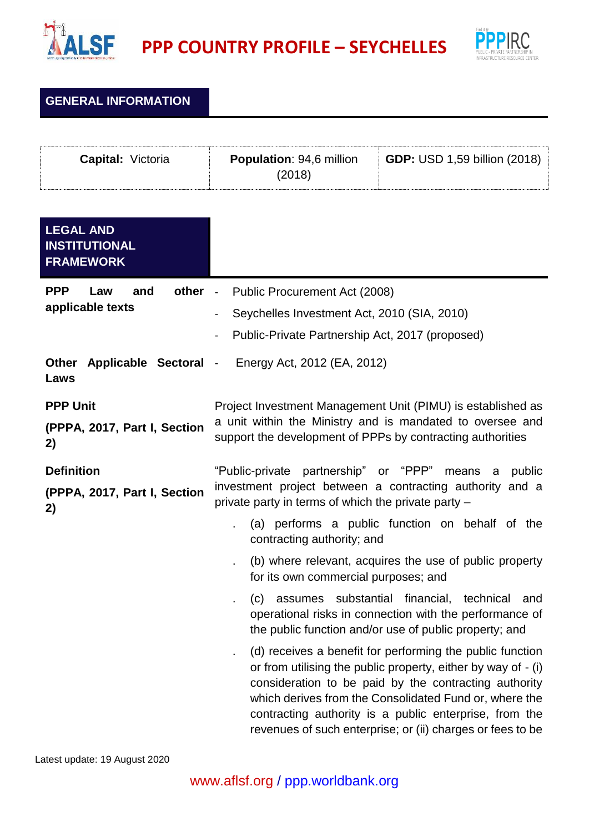

**PPP COUNTRY PROFILE – SEYCHELLES**



**GENERAL INFORMATION**

| <b>Capital:</b> Victoria | <b>Population: 94,6 million</b><br>(2018) | <b>GDP:</b> USD 1,59 billion (2018) |
|--------------------------|-------------------------------------------|-------------------------------------|
|--------------------------|-------------------------------------------|-------------------------------------|

| <b>LEGAL AND</b><br><b>INSTITUTIONAL</b><br><b>FRAMEWORK</b> |                                                                                                                                                                                                                                                                                                                                                                       |
|--------------------------------------------------------------|-----------------------------------------------------------------------------------------------------------------------------------------------------------------------------------------------------------------------------------------------------------------------------------------------------------------------------------------------------------------------|
| <b>PPP</b><br>other -<br>Law<br>and<br>applicable texts      | Public Procurement Act (2008)<br>Seychelles Investment Act, 2010 (SIA, 2010)                                                                                                                                                                                                                                                                                          |
|                                                              | Public-Private Partnership Act, 2017 (proposed)                                                                                                                                                                                                                                                                                                                       |
| <b>Other</b><br>Applicable Sectoral -<br>Laws                | Energy Act, 2012 (EA, 2012)                                                                                                                                                                                                                                                                                                                                           |
| <b>PPP Unit</b><br>(PPPA, 2017, Part I, Section<br>2)        | Project Investment Management Unit (PIMU) is established as<br>a unit within the Ministry and is mandated to oversee and<br>support the development of PPPs by contracting authorities                                                                                                                                                                                |
| <b>Definition</b><br>(PPPA, 2017, Part I, Section<br>2)      | "Public-private partnership" or "PPP" means<br>public<br>a<br>investment project between a contracting authority and a<br>private party in terms of which the private party -                                                                                                                                                                                         |
|                                                              | (a) performs a public function on behalf of the<br>contracting authority; and                                                                                                                                                                                                                                                                                         |
|                                                              | (b) where relevant, acquires the use of public property<br>for its own commercial purposes; and                                                                                                                                                                                                                                                                       |
|                                                              | assumes substantial financial, technical<br>(c)<br>and<br>operational risks in connection with the performance of<br>the public function and/or use of public property; and                                                                                                                                                                                           |
|                                                              | (d) receives a benefit for performing the public function<br>or from utilising the public property, either by way of - (i)<br>consideration to be paid by the contracting authority<br>which derives from the Consolidated Fund or, where the<br>contracting authority is a public enterprise, from the<br>revenues of such enterprise; or (ii) charges or fees to be |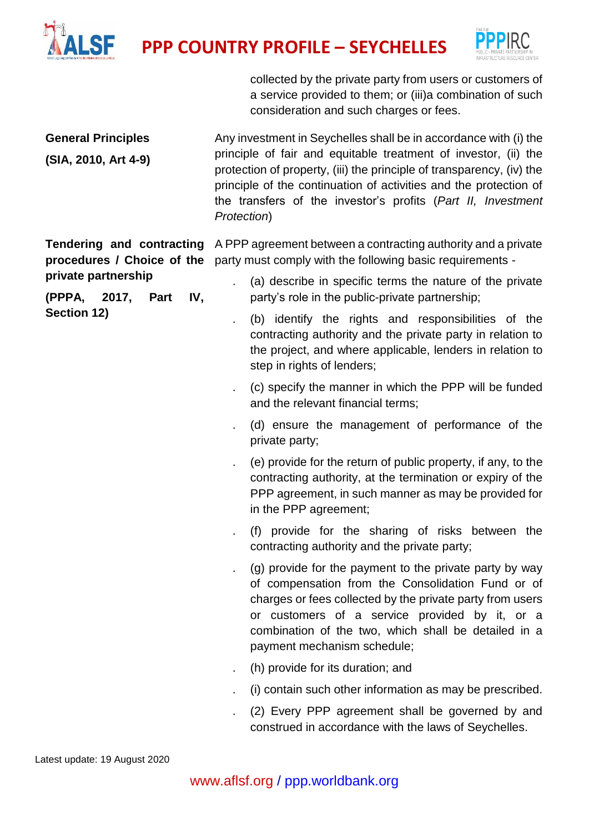

**PPP COUNTRY PROFILE – SEYCHELLES**



collected by the private party from users or customers of a service provided to them; or (iii)a combination of such consideration and such charges or fees.

| <b>General Principles</b><br>(SIA, 2010, Art 4-9)                                                                         | Any investment in Seychelles shall be in accordance with (i) the<br>principle of fair and equitable treatment of investor, (ii) the<br>protection of property, (iii) the principle of transparency, (iv) the<br>principle of the continuation of activities and the protection of<br>the transfers of the investor's profits (Part II, Investment<br>Protection)                                                                                                                                                                                                                                                                                                                                                                                                                                                                                                                                                                                                                                                                                                                                                                                                                                                                                                                                                                                                                     |
|---------------------------------------------------------------------------------------------------------------------------|--------------------------------------------------------------------------------------------------------------------------------------------------------------------------------------------------------------------------------------------------------------------------------------------------------------------------------------------------------------------------------------------------------------------------------------------------------------------------------------------------------------------------------------------------------------------------------------------------------------------------------------------------------------------------------------------------------------------------------------------------------------------------------------------------------------------------------------------------------------------------------------------------------------------------------------------------------------------------------------------------------------------------------------------------------------------------------------------------------------------------------------------------------------------------------------------------------------------------------------------------------------------------------------------------------------------------------------------------------------------------------------|
| Tendering and contracting<br>procedures / Choice of the<br>private partnership<br>(PPPA, 2017, Part<br>IV,<br>Section 12) | A PPP agreement between a contracting authority and a private<br>party must comply with the following basic requirements -<br>(a) describe in specific terms the nature of the private<br>ä.<br>party's role in the public-private partnership;<br>(b) identify the rights and responsibilities of the<br>contracting authority and the private party in relation to<br>the project, and where applicable, lenders in relation to<br>step in rights of lenders;<br>(c) specify the manner in which the PPP will be funded<br>ä,<br>and the relevant financial terms;<br>(d) ensure the management of performance of the<br>private party;<br>(e) provide for the return of public property, if any, to the<br>contracting authority, at the termination or expiry of the<br>PPP agreement, in such manner as may be provided for<br>in the PPP agreement;<br>(f) provide for the sharing of risks between the<br>contracting authority and the private party;<br>(g) provide for the payment to the private party by way<br>of compensation from the Consolidation Fund or of<br>charges or fees collected by the private party from users<br>or customers of a service provided by it, or a<br>combination of the two, which shall be detailed in a<br>payment mechanism schedule;<br>(h) provide for its duration; and<br>(i) contain such other information as may be prescribed. |
|                                                                                                                           | (2) Every PPP agreement shall be governed by and<br>construed in accordance with the laws of Seychelles.                                                                                                                                                                                                                                                                                                                                                                                                                                                                                                                                                                                                                                                                                                                                                                                                                                                                                                                                                                                                                                                                                                                                                                                                                                                                             |